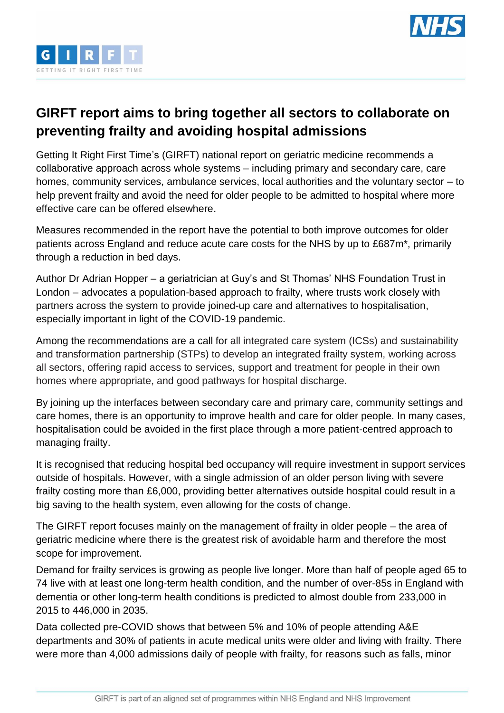



## **GIRFT report aims to bring together all sectors to collaborate on preventing frailty and avoiding hospital admissions**

Getting It Right First Time's (GIRFT) national report on geriatric medicine recommends a collaborative approach across whole systems – including primary and secondary care, care homes, community services, ambulance services, local authorities and the voluntary sector – to help prevent frailty and avoid the need for older people to be admitted to hospital where more effective care can be offered elsewhere.

Measures recommended in the report have the potential to both improve outcomes for older patients across England and reduce acute care costs for the NHS by up to £687m\*, primarily through a reduction in bed days.

Author Dr Adrian Hopper – a geriatrician at Guy's and St Thomas' NHS Foundation Trust in London – advocates a population-based approach to frailty, where trusts work closely with partners across the system to provide joined-up care and alternatives to hospitalisation, especially important in light of the COVID-19 pandemic.

Among the recommendations are a call for all integrated care system (ICSs) and sustainability and transformation partnership (STPs) to develop an integrated frailty system, working across all sectors, offering rapid access to services, support and treatment for people in their own homes where appropriate, and good pathways for hospital discharge.

By joining up the interfaces between secondary care and primary care, community settings and care homes, there is an opportunity to improve health and care for older people. In many cases, hospitalisation could be avoided in the first place through a more patient-centred approach to managing frailty.

It is recognised that reducing hospital bed occupancy will require investment in support services outside of hospitals. However, with a single admission of an older person living with severe frailty costing more than £6,000, providing better alternatives outside hospital could result in a big saving to the health system, even allowing for the costs of change.

The GIRFT report focuses mainly on the management of frailty in older people – the area of geriatric medicine where there is the greatest risk of avoidable harm and therefore the most scope for improvement.

Demand for frailty services is growing as people live longer. More than half of people aged 65 to 74 live with at least one long-term health condition, and the number of over-85s in England with dementia or other long-term health conditions is predicted to almost double from 233,000 in 2015 to 446,000 in 2035.

Data collected pre-COVID shows that between 5% and 10% of people attending A&E departments and 30% of patients in acute medical units were older and living with frailty. There were more than 4,000 admissions daily of people with frailty, for reasons such as falls, minor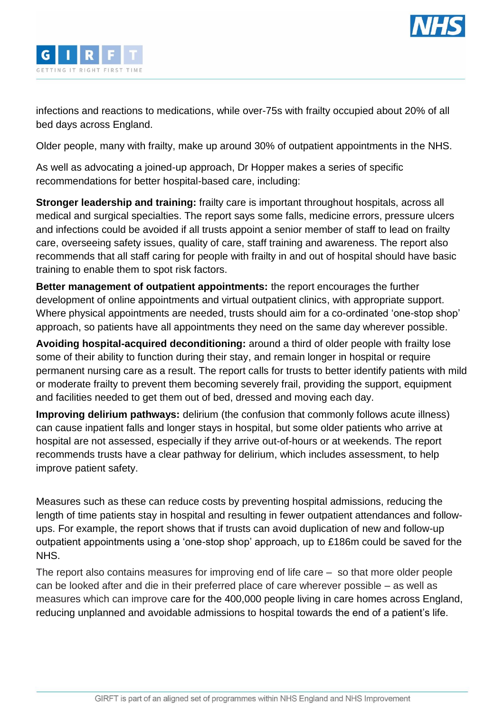



infections and reactions to medications, while over-75s with frailty occupied about 20% of all bed days across England.

Older people, many with frailty, make up around 30% of outpatient appointments in the NHS.

As well as advocating a joined-up approach, Dr Hopper makes a series of specific recommendations for better hospital-based care, including:

**Stronger leadership and training:** frailty care is important throughout hospitals, across all medical and surgical specialties. The report says some falls, medicine errors, pressure ulcers and infections could be avoided if all trusts appoint a senior member of staff to lead on frailty care, overseeing safety issues, quality of care, staff training and awareness. The report also recommends that all staff caring for people with frailty in and out of hospital should have basic training to enable them to spot risk factors.

**Better management of outpatient appointments:** the report encourages the further development of online appointments and virtual outpatient clinics, with appropriate support. Where physical appointments are needed, trusts should aim for a co-ordinated 'one-stop shop' approach, so patients have all appointments they need on the same day wherever possible.

**Avoiding hospital-acquired deconditioning:** around a third of older people with frailty lose some of their ability to function during their stay, and remain longer in hospital or require permanent nursing care as a result. The report calls for trusts to better identify patients with mild or moderate frailty to prevent them becoming severely frail, providing the support, equipment and facilities needed to get them out of bed, dressed and moving each day.

**Improving delirium pathways:** delirium (the confusion that commonly follows acute illness) can cause inpatient falls and longer stays in hospital, but some older patients who arrive at hospital are not assessed, especially if they arrive out-of-hours or at weekends. The report recommends trusts have a clear pathway for delirium, which includes assessment, to help improve patient safety.

Measures such as these can reduce costs by preventing hospital admissions, reducing the length of time patients stay in hospital and resulting in fewer outpatient attendances and followups. For example, the report shows that if trusts can avoid duplication of new and follow-up outpatient appointments using a 'one-stop shop' approach, up to £186m could be saved for the NHS.

The report also contains measures for improving end of life care – so that more older people can be looked after and die in their preferred place of care wherever possible – as well as measures which can improve care for the 400,000 people living in care homes across England, reducing unplanned and avoidable admissions to hospital towards the end of a patient's life.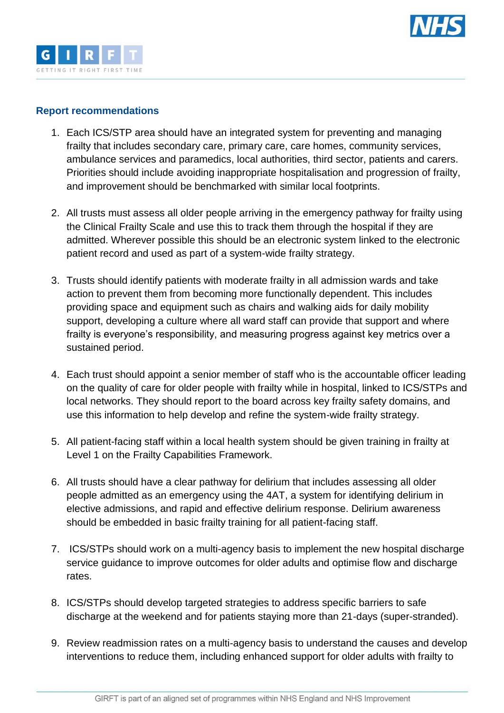



## **Report recommendations**

- 1. Each ICS/STP area should have an integrated system for preventing and managing frailty that includes secondary care, primary care, care homes, community services, ambulance services and paramedics, local authorities, third sector, patients and carers. Priorities should include avoiding inappropriate hospitalisation and progression of frailty, and improvement should be benchmarked with similar local footprints.
- 2. All trusts must assess all older people arriving in the emergency pathway for frailty using the Clinical Frailty Scale and use this to track them through the hospital if they are admitted. Wherever possible this should be an electronic system linked to the electronic patient record and used as part of a system-wide frailty strategy.
- 3. Trusts should identify patients with moderate frailty in all admission wards and take action to prevent them from becoming more functionally dependent. This includes providing space and equipment such as chairs and walking aids for daily mobility support, developing a culture where all ward staff can provide that support and where frailty is everyone's responsibility, and measuring progress against key metrics over a sustained period.
- 4. Each trust should appoint a senior member of staff who is the accountable officer leading on the quality of care for older people with frailty while in hospital, linked to ICS/STPs and local networks. They should report to the board across key frailty safety domains, and use this information to help develop and refine the system-wide frailty strategy.
- 5. All patient-facing staff within a local health system should be given training in frailty at Level 1 on the Frailty Capabilities Framework.
- 6. All trusts should have a clear pathway for delirium that includes assessing all older people admitted as an emergency using the 4AT, a system for identifying delirium in elective admissions, and rapid and effective delirium response. Delirium awareness should be embedded in basic frailty training for all patient-facing staff.
- 7. ICS/STPs should work on a multi-agency basis to implement the new hospital discharge service guidance to improve outcomes for older adults and optimise flow and discharge rates.
- 8. ICS/STPs should develop targeted strategies to address specific barriers to safe discharge at the weekend and for patients staying more than 21-days (super-stranded).
- 9. Review readmission rates on a multi-agency basis to understand the causes and develop interventions to reduce them, including enhanced support for older adults with frailty to